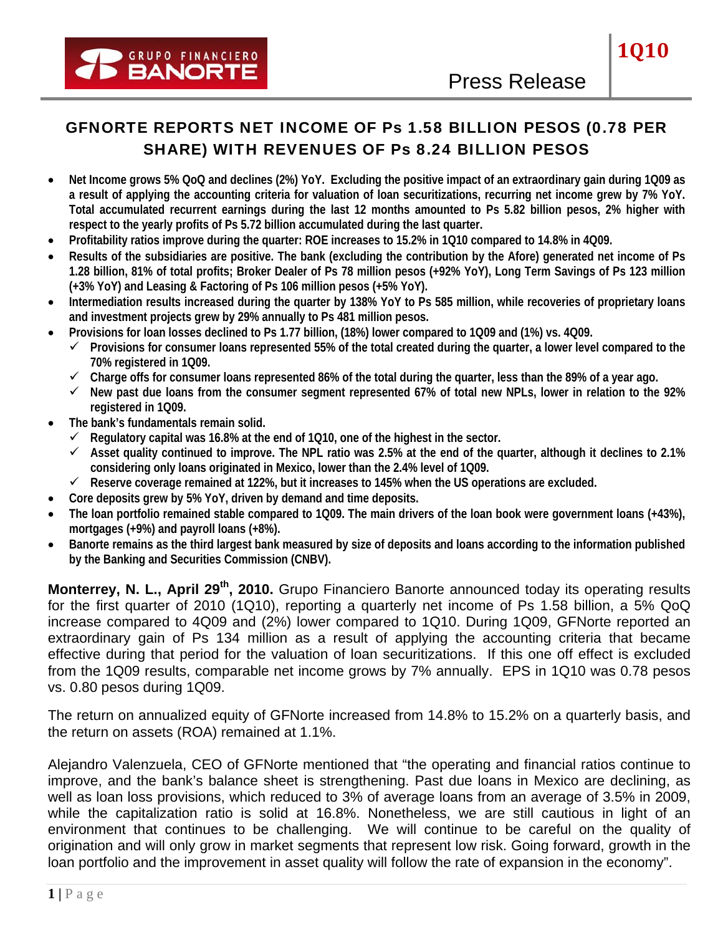# GFNORTE REPORTS NET INCOME OF Ps 1.58 BILLION PESOS (0.78 PER SHARE) WITH REVENUES OF Ps 8.24 BILLION PESOS

- **Net Income grows 5% QoQ and declines (2%) YoY. Excluding the positive impact of an extraordinary gain during 1Q09 as a result of applying the accounting criteria for valuation of loan securitizations, recurring net income grew by 7% YoY. Total accumulated recurrent earnings during the last 12 months amounted to Ps 5.82 billion pesos, 2% higher with respect to the yearly profits of Ps 5.72 billion accumulated during the last quarter.**
- **Profitability ratios improve during the quarter: ROE increases to 15.2% in 1Q10 compared to 14.8% in 4Q09.**
- **Results of the subsidiaries are positive. The bank (excluding the contribution by the Afore) generated net income of Ps 1.28 billion, 81% of total profits; Broker Dealer of Ps 78 million pesos (+92% YoY), Long Term Savings of Ps 123 million (+3% YoY) and Leasing & Factoring of Ps 106 million pesos (+5% YoY).**
- **Intermediation results increased during the quarter by 138% YoY to Ps 585 million, while recoveries of proprietary loans and investment projects grew by 29% annually to Ps 481 million pesos.**
- **Provisions for loan losses declined to Ps 1.77 billion, (18%) lower compared to 1Q09 and (1%) vs. 4Q09.** 
	- 9 **Provisions for consumer loans represented 55% of the total created during the quarter, a lower level compared to the 70% registered in 1Q09.**
	- $\checkmark$  Charge offs for consumer loans represented 86% of the total during the quarter, less than the 89% of a year ago.
	- 9 **New past due loans from the consumer segment represented 67% of total new NPLs, lower in relation to the 92% registered in 1Q09.**
- **The bank's fundamentals remain solid.** 
	- $\checkmark$  Regulatory capital was 16.8% at the end of 1Q10, one of the highest in the sector.
	- $\checkmark$  Asset quality continued to improve. The NPL ratio was 2.5% at the end of the quarter, although it declines to 2.1% **considering only loans originated in Mexico, lower than the 2.4% level of 1Q09.**
	- $\checkmark$  Reserve coverage remained at 122%, but it increases to 145% when the US operations are excluded.
- **Core deposits grew by 5% YoY, driven by demand and time deposits.**
- **The loan portfolio remained stable compared to 1Q09. The main drivers of the loan book were government loans (+43%), mortgages (+9%) and payroll loans (+8%).**
- **Banorte remains as the third largest bank measured by size of deposits and loans according to the information published by the Banking and Securities Commission (CNBV).**

Monterrey, N. L., April 29<sup>th</sup>, 2010. Grupo Financiero Banorte announced today its operating results for the first quarter of 2010 (1Q10), reporting a quarterly net income of Ps 1.58 billion, a 5% QoQ increase compared to 4Q09 and (2%) lower compared to 1Q10. During 1Q09, GFNorte reported an extraordinary gain of Ps 134 million as a result of applying the accounting criteria that became effective during that period for the valuation of loan securitizations. If this one off effect is excluded from the 1Q09 results, comparable net income grows by 7% annually. EPS in 1Q10 was 0.78 pesos vs. 0.80 pesos during 1Q09.

The return on annualized equity of GFNorte increased from 14.8% to 15.2% on a quarterly basis, and the return on assets (ROA) remained at 1.1%.

Alejandro Valenzuela, CEO of GFNorte mentioned that "the operating and financial ratios continue to improve, and the bank's balance sheet is strengthening. Past due loans in Mexico are declining, as well as loan loss provisions, which reduced to 3% of average loans from an average of 3.5% in 2009, while the capitalization ratio is solid at 16.8%. Nonetheless, we are still cautious in light of an environment that continues to be challenging. We will continue to be careful on the quality of origination and will only grow in market segments that represent low risk. Going forward, growth in the loan portfolio and the improvement in asset quality will follow the rate of expansion in the economy".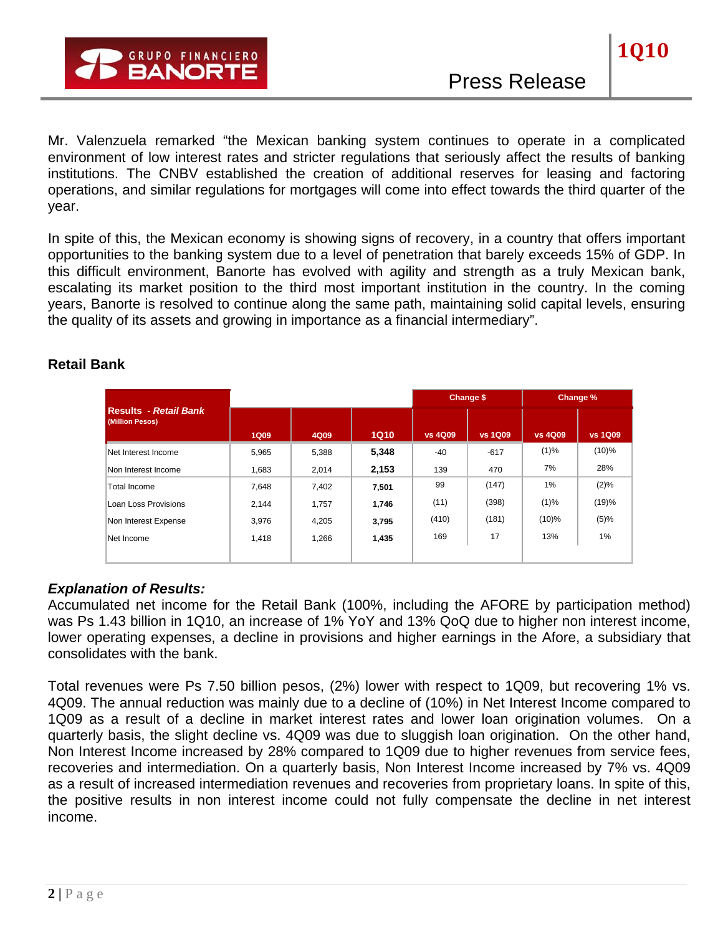Mr. Valenzuela remarked "the Mexican banking system continues to operate in a complicated environment of low interest rates and stricter regulations that seriously affect the results of banking institutions. The CNBV established the creation of additional reserves for leasing and factoring operations, and similar regulations for mortgages will come into effect towards the third quarter of the year.

In spite of this, the Mexican economy is showing signs of recovery, in a country that offers important opportunities to the banking system due to a level of penetration that barely exceeds 15% of GDP. In this difficult environment, Banorte has evolved with agility and strength as a truly Mexican bank, escalating its market position to the third most important institution in the country. In the coming years, Banorte is resolved to continue along the same path, maintaining solid capital levels, ensuring the quality of its assets and growing in importance as a financial intermediary".

|                                                 |             |       |             |                | Change \$      |                | Change %       |
|-------------------------------------------------|-------------|-------|-------------|----------------|----------------|----------------|----------------|
| <b>Results</b> - Retail Bank<br>(Million Pesos) | <b>1Q09</b> | 4Q09  | <b>1Q10</b> | <b>vs 4Q09</b> | <b>vs 1Q09</b> | <b>vs 4Q09</b> | <b>vs 1Q09</b> |
| Net Interest Income                             | 5,965       | 5,388 | 5,348       | $-40$          | $-617$         | (1)%           | $(10)\%$       |
| Non Interest Income                             | 1.683       | 2.014 | 2,153       | 139            | 470            | 7%             | 28%            |
| Total Income                                    | 7,648       | 7,402 | 7,501       | 99             | (147)          | 1%             | $(2)\%$        |
| Loan Loss Provisions                            | 2.144       | 1,757 | 1,746       | (11)           | (398)          | $(1)\%$        | (19)%          |
| Non Interest Expense                            | 3,976       | 4,205 | 3,795       | (410)          | (181)          | $(10)\%$       | $(5)\%$        |
| Net Income                                      | 1,418       | 1,266 | 1,435       | 169            | 17             | 13%            | 1%             |
|                                                 |             |       |             |                |                |                |                |

## **Retail Bank**

## *Explanation of Results:*

Accumulated net income for the Retail Bank (100%, including the AFORE by participation method) was Ps 1.43 billion in 1Q10, an increase of 1% YoY and 13% QoQ due to higher non interest income, lower operating expenses, a decline in provisions and higher earnings in the Afore, a subsidiary that consolidates with the bank.

Total revenues were Ps 7.50 billion pesos, (2%) lower with respect to 1Q09, but recovering 1% vs. 4Q09. The annual reduction was mainly due to a decline of (10%) in Net Interest Income compared to 1Q09 as a result of a decline in market interest rates and lower loan origination volumes. On a quarterly basis, the slight decline vs. 4Q09 was due to sluggish loan origination. On the other hand, Non Interest Income increased by 28% compared to 1Q09 due to higher revenues from service fees, recoveries and intermediation. On a quarterly basis, Non Interest Income increased by 7% vs. 4Q09 as a result of increased intermediation revenues and recoveries from proprietary loans. In spite of this, the positive results in non interest income could not fully compensate the decline in net interest income.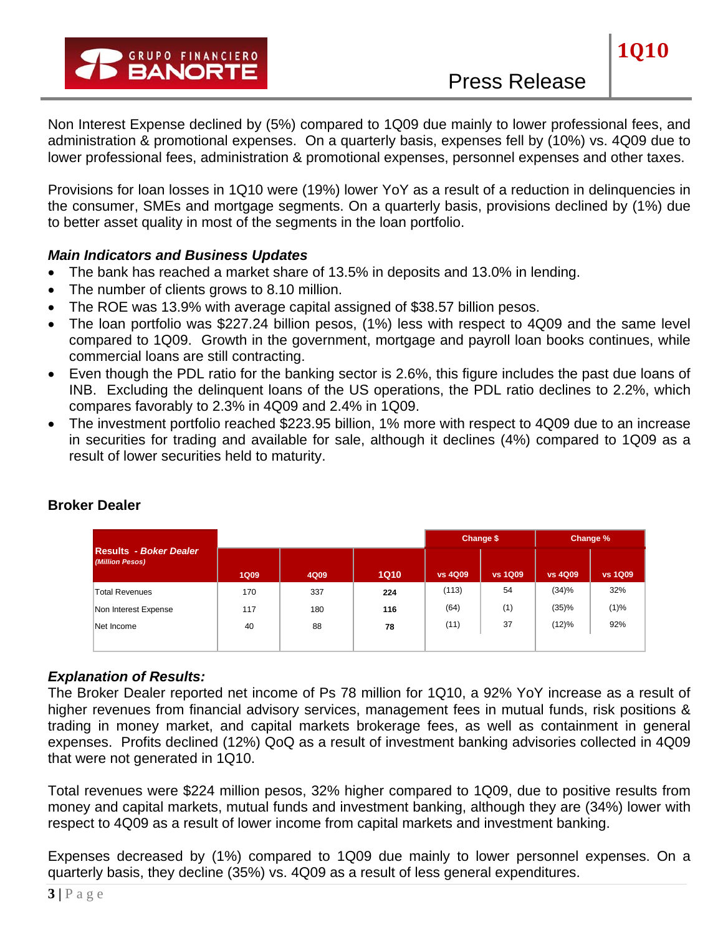Non Interest Expense declined by (5%) compared to 1Q09 due mainly to lower professional fees, and administration & promotional expenses. On a quarterly basis, expenses fell by (10%) vs. 4Q09 due to lower professional fees, administration & promotional expenses, personnel expenses and other taxes.

Provisions for loan losses in 1Q10 were (19%) lower YoY as a result of a reduction in delinquencies in the consumer, SMEs and mortgage segments. On a quarterly basis, provisions declined by (1%) due to better asset quality in most of the segments in the loan portfolio.

### *Main Indicators and Business Updates*

- The bank has reached a market share of 13.5% in deposits and 13.0% in lending.
- The number of clients grows to 8.10 million.
- The ROE was 13.9% with average capital assigned of \$38.57 billion pesos.
- The loan portfolio was \$227.24 billion pesos, (1%) less with respect to 4Q09 and the same level compared to 1Q09. Growth in the government, mortgage and payroll loan books continues, while commercial loans are still contracting.
- Even though the PDL ratio for the banking sector is 2.6%, this figure includes the past due loans of INB. Excluding the delinquent loans of the US operations, the PDL ratio declines to 2.2%, which compares favorably to 2.3% in 4Q09 and 2.4% in 1Q09.
- The investment portfolio reached \$223.95 billion, 1% more with respect to 4Q09 due to an increase in securities for trading and available for sale, although it declines (4%) compared to 1Q09 as a result of lower securities held to maturity.

|                                                  |             |      |             | Change \$      |                | Change %       |                |
|--------------------------------------------------|-------------|------|-------------|----------------|----------------|----------------|----------------|
| <b>Results - Boker Dealer</b><br>(Million Pesos) | <b>1Q09</b> | 4Q09 | <b>1Q10</b> | <b>vs 4Q09</b> | <b>vs 1Q09</b> | <b>vs 4Q09</b> | <b>vs 1Q09</b> |
| <b>Total Revenues</b>                            | 170         | 337  | 224         | (113)          | 54             | (34)%          | 32%            |
| Non Interest Expense                             | 117         | 180  | 116         | (64)           | (1)            | (35)%          | (1)%           |
| Net Income                                       | 40          | 88   | 78          | (11)           | 37             | (12)%          | 92%            |
|                                                  |             |      |             |                |                |                |                |

## **Broker Dealer**

### *Explanation of Results:*

The Broker Dealer reported net income of Ps 78 million for 1Q10, a 92% YoY increase as a result of higher revenues from financial advisory services, management fees in mutual funds, risk positions & trading in money market, and capital markets brokerage fees, as well as containment in general expenses. Profits declined (12%) QoQ as a result of investment banking advisories collected in 4Q09 that were not generated in 1Q10.

Total revenues were \$224 million pesos, 32% higher compared to 1Q09, due to positive results from money and capital markets, mutual funds and investment banking, although they are (34%) lower with respect to 4Q09 as a result of lower income from capital markets and investment banking.

Expenses decreased by (1%) compared to 1Q09 due mainly to lower personnel expenses. On a quarterly basis, they decline (35%) vs. 4Q09 as a result of less general expenditures.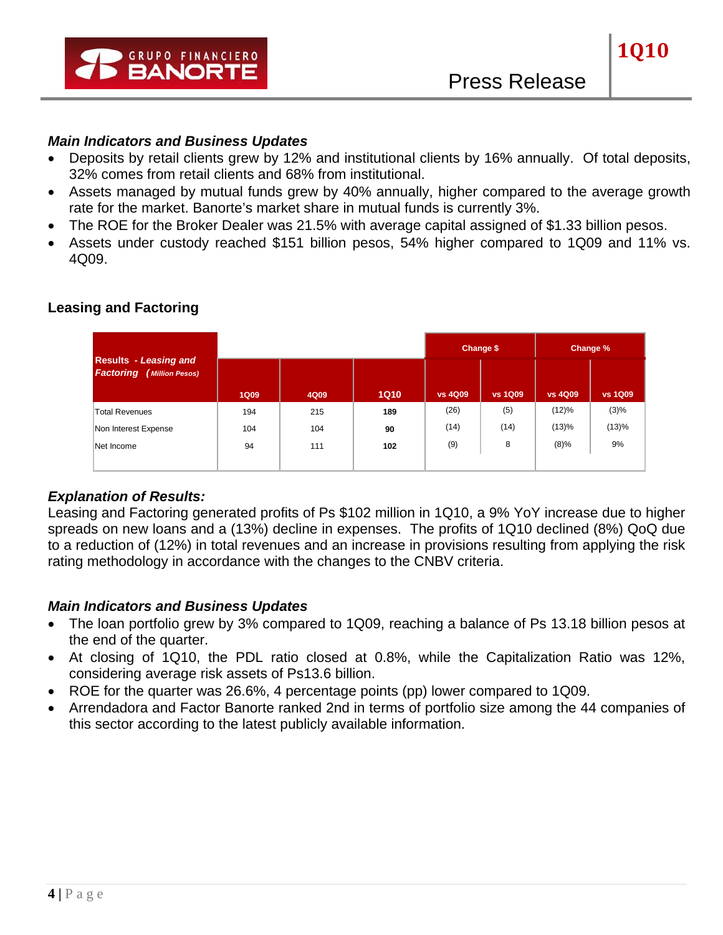

### *Main Indicators and Business Updates*

- Deposits by retail clients grew by 12% and institutional clients by 16% annually. Of total deposits, 32% comes from retail clients and 68% from institutional.
- Assets managed by mutual funds grew by 40% annually, higher compared to the average growth rate for the market. Banorte's market share in mutual funds is currently 3%.
- The ROE for the Broker Dealer was 21.5% with average capital assigned of \$1.33 billion pesos.
- Assets under custody reached \$151 billion pesos, 54% higher compared to 1Q09 and 11% vs. 4Q09.

|                                                                     |             |      |             |                | Change \$      |                | Change %       |
|---------------------------------------------------------------------|-------------|------|-------------|----------------|----------------|----------------|----------------|
| <b>Results</b> - Leasing and<br><b>Factoring</b><br>(Million Pesos) | <b>1Q09</b> | 4Q09 | <b>1Q10</b> | <b>vs 4Q09</b> | <b>vs 1Q09</b> | <b>vs 4Q09</b> | <b>vs 1Q09</b> |
|                                                                     |             |      |             |                |                |                |                |
| <b>Total Revenues</b>                                               | 194         | 215  | 189         | (26)           | (5)            | (12)%          | $(3)\%$        |
| Non Interest Expense                                                | 104         | 104  | 90          | (14)           | (14)           | (13)%          | (13)%          |
| Net Income                                                          | 94          | 111  | 102         | (9)            | 8              | $(8)\%$        | 9%             |
|                                                                     |             |      |             |                |                |                |                |

### **Leasing and Factoring**

### *Explanation of Results:*

Leasing and Factoring generated profits of Ps \$102 million in 1Q10, a 9% YoY increase due to higher spreads on new loans and a (13%) decline in expenses. The profits of 1Q10 declined (8%) QoQ due to a reduction of (12%) in total revenues and an increase in provisions resulting from applying the risk rating methodology in accordance with the changes to the CNBV criteria.

- The loan portfolio grew by 3% compared to 1Q09, reaching a balance of Ps 13.18 billion pesos at the end of the quarter.
- At closing of 1Q10, the PDL ratio closed at 0.8%, while the Capitalization Ratio was 12%, considering average risk assets of Ps13.6 billion.
- ROE for the quarter was 26.6%, 4 percentage points (pp) lower compared to 1Q09.
- Arrendadora and Factor Banorte ranked 2nd in terms of portfolio size among the 44 companies of this sector according to the latest publicly available information.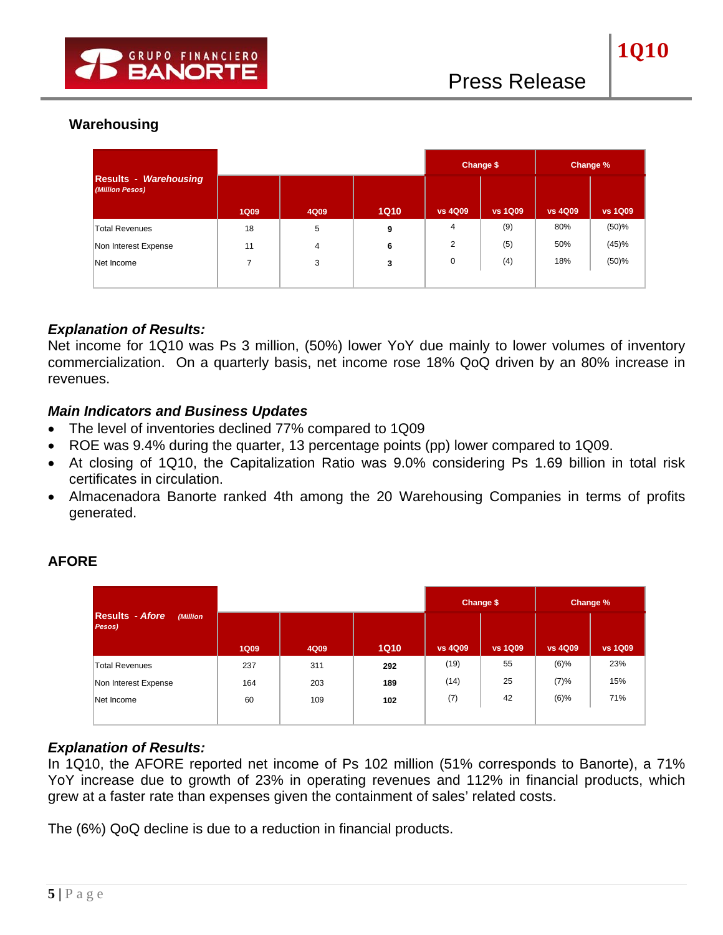## **Warehousing**

|                                                 |             |      |             |                | Change \$      |                | Change %       |
|-------------------------------------------------|-------------|------|-------------|----------------|----------------|----------------|----------------|
| <b>Results - Warehousing</b><br>(Million Pesos) | <b>1Q09</b> | 4Q09 | <b>1Q10</b> | <b>vs 4Q09</b> | <b>vs 1Q09</b> | <b>vs 4Q09</b> | <b>vs 1Q09</b> |
| <b>Total Revenues</b>                           | 18          | 5    | 9           | 4              | (9)            | 80%            | (50)%          |
| Non Interest Expense                            | 11          | 4    | 6           | 2              | (5)            | 50%            | (45)%          |
| Net Income                                      |             | 3    | 3           | 0              | (4)            | 18%            | (50)%          |
|                                                 |             |      |             |                |                |                |                |

### *Explanation of Results:*

Net income for 1Q10 was Ps 3 million, (50%) lower YoY due mainly to lower volumes of inventory commercialization. On a quarterly basis, net income rose 18% QoQ driven by an 80% increase in revenues.

### *Main Indicators and Business Updates*

- The level of inventories declined 77% compared to 1Q09
- ROE was 9.4% during the quarter, 13 percentage points (pp) lower compared to 1Q09.
- At closing of 1Q10, the Capitalization Ratio was 9.0% considering Ps 1.69 billion in total risk certificates in circulation.
- Almacenadora Banorte ranked 4th among the 20 Warehousing Companies in terms of profits generated.

|                                              |             |      |             |                | Change \$      |                | Change %       |
|----------------------------------------------|-------------|------|-------------|----------------|----------------|----------------|----------------|
| <b>Results - Afore</b><br>(Million<br>Pesos) | <b>1Q09</b> | 4Q09 | <b>1Q10</b> | <b>vs 4Q09</b> | <b>vs 1Q09</b> | <b>vs 4Q09</b> | <b>vs 1Q09</b> |
| <b>Total Revenues</b>                        | 237         | 311  | 292         | (19)           | 55             | $(6)\%$        | 23%            |
| Non Interest Expense                         | 164         | 203  | 189         | (14)           | 25             | (7)%           | 15%            |
| Net Income                                   | 60          | 109  | 102         | (7)            | 42             | $(6)\%$        | 71%            |
|                                              |             |      |             |                |                |                |                |

## **AFORE**

### *Explanation of Results:*

In 1Q10, the AFORE reported net income of Ps 102 million (51% corresponds to Banorte), a 71% YoY increase due to growth of 23% in operating revenues and 112% in financial products, which grew at a faster rate than expenses given the containment of sales' related costs.

The (6%) QoQ decline is due to a reduction in financial products.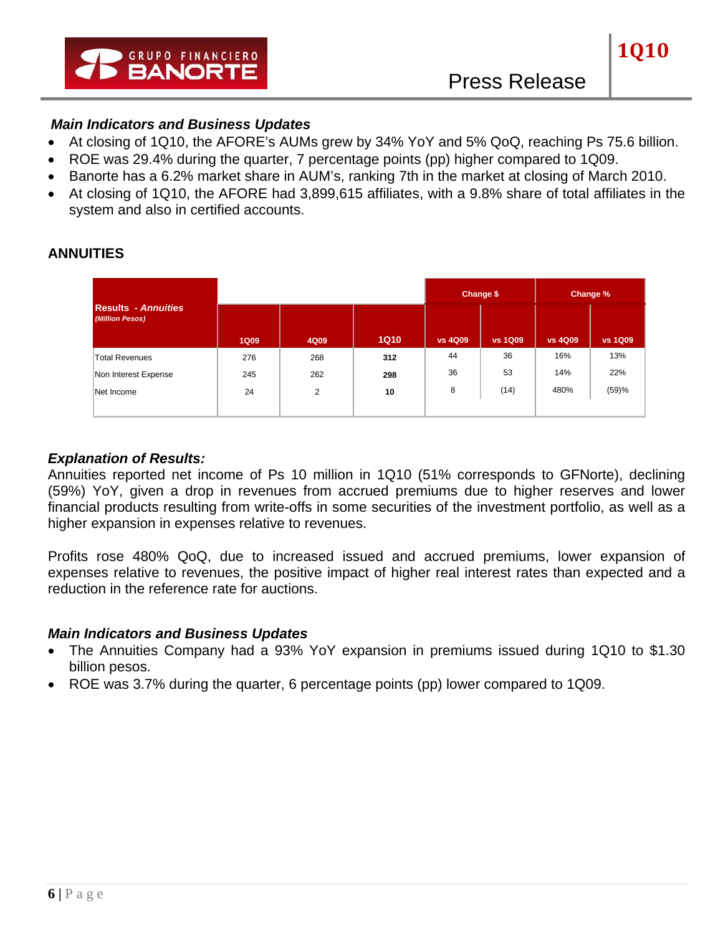

### *Main Indicators and Business Updates*

- At closing of 1Q10, the AFORE's AUMs grew by 34% YoY and 5% QoQ, reaching Ps 75.6 billion.
- ROE was 29.4% during the quarter, 7 percentage points (pp) higher compared to 1Q09.
- Banorte has a 6.2% market share in AUM's, ranking 7th in the market at closing of March 2010.
- At closing of 1Q10, the AFORE had 3,899,615 affiliates, with a 9.8% share of total affiliates in the system and also in certified accounts.

|                                               |             |      |             |                | Change \$      |                | Change %       |
|-----------------------------------------------|-------------|------|-------------|----------------|----------------|----------------|----------------|
| <b>Results - Annuities</b><br>(Million Pesos) |             |      |             |                |                |                |                |
|                                               | <b>1Q09</b> | 4Q09 | <b>1Q10</b> | <b>vs 4Q09</b> | <b>vs 1Q09</b> | <b>vs 4Q09</b> | <b>vs 1Q09</b> |
| <b>Total Revenues</b>                         | 276         | 268  | 312         | 44             | 36             | 16%            | 13%            |
| Non Interest Expense                          | 245         | 262  | 298         | 36             | 53             | 14%            | 22%            |
| Net Income                                    | 24          | 2    | 10          | 8              | (14)           | 480%           | (59)%          |
|                                               |             |      |             |                |                |                |                |

### **ANNUITIES**

### *Explanation of Results:*

Annuities reported net income of Ps 10 million in 1Q10 (51% corresponds to GFNorte), declining (59%) YoY, given a drop in revenues from accrued premiums due to higher reserves and lower financial products resulting from write-offs in some securities of the investment portfolio, as well as a higher expansion in expenses relative to revenues.

Profits rose 480% QoQ, due to increased issued and accrued premiums, lower expansion of expenses relative to revenues, the positive impact of higher real interest rates than expected and a reduction in the reference rate for auctions.

- The Annuities Company had a 93% YoY expansion in premiums issued during 1Q10 to \$1.30 billion pesos.
- ROE was 3.7% during the quarter, 6 percentage points (pp) lower compared to 1Q09.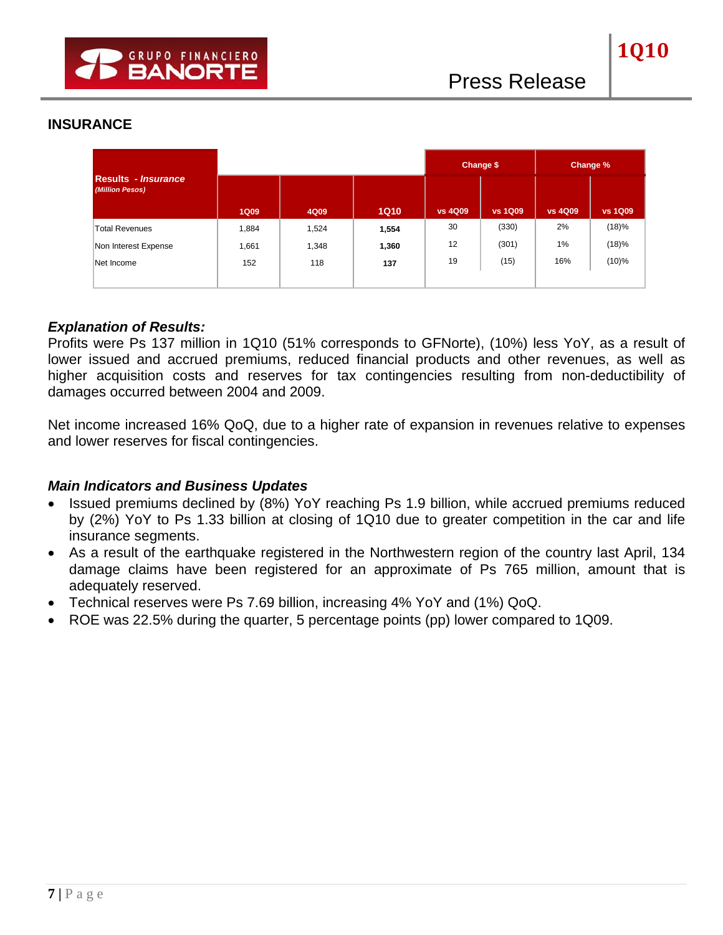### **INSURANCE**

|                                                      |             |       |             |                | Change \$      |                | Change %       |
|------------------------------------------------------|-------------|-------|-------------|----------------|----------------|----------------|----------------|
| <b>Results</b> - <i>Insurance</i><br>(Million Pesos) | <b>1Q09</b> | 4Q09  | <b>1Q10</b> | <b>vs 4Q09</b> | <b>vs 1Q09</b> | <b>vs 4Q09</b> | <b>vs 1Q09</b> |
| <b>Total Revenues</b>                                | 1,884       | 1,524 | 1,554       | 30             | (330)          | 2%             | (18)%          |
| Non Interest Expense                                 | 1,661       | 1,348 | 1,360       | 12             | (301)          | 1%             | (18)%          |
| Net Income                                           | 152         | 118   | 137         | 19             | (15)           | 16%            | $(10)\%$       |
|                                                      |             |       |             |                |                |                |                |

#### *Explanation of Results:*

Profits were Ps 137 million in 1Q10 (51% corresponds to GFNorte), (10%) less YoY, as a result of lower issued and accrued premiums, reduced financial products and other revenues, as well as higher acquisition costs and reserves for tax contingencies resulting from non-deductibility of damages occurred between 2004 and 2009.

Net income increased 16% QoQ, due to a higher rate of expansion in revenues relative to expenses and lower reserves for fiscal contingencies.

- Issued premiums declined by (8%) YoY reaching Ps 1.9 billion, while accrued premiums reduced by (2%) YoY to Ps 1.33 billion at closing of 1Q10 due to greater competition in the car and life insurance segments.
- As a result of the earthquake registered in the Northwestern region of the country last April, 134 damage claims have been registered for an approximate of Ps 765 million, amount that is adequately reserved.
- Technical reserves were Ps 7.69 billion, increasing 4% YoY and (1%) QoQ.
- ROE was 22.5% during the quarter, 5 percentage points (pp) lower compared to 1Q09.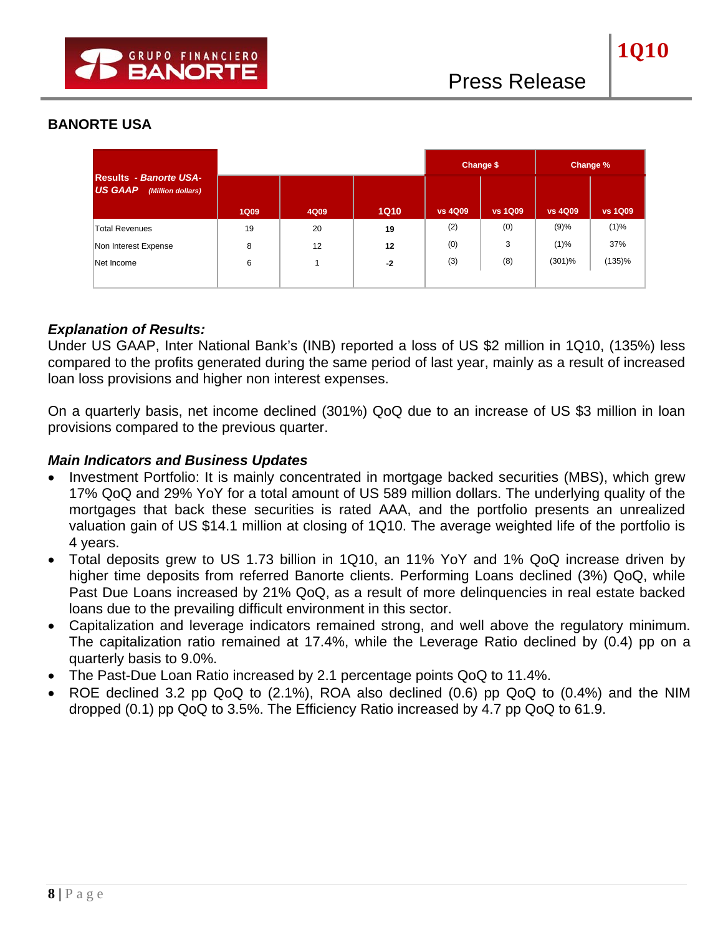### **BANORTE USA**

|                                                                      |             |      |             |                | Change \$      |                | Change %       |
|----------------------------------------------------------------------|-------------|------|-------------|----------------|----------------|----------------|----------------|
| <b>Results - Banorte USA-</b><br><b>US GAAP</b><br>(Million dollars) | <b>1Q09</b> | 4Q09 | <b>1Q10</b> | <b>vs 4Q09</b> | <b>vs 1Q09</b> | <b>vs 4Q09</b> | <b>vs 1Q09</b> |
| <b>Total Revenues</b>                                                | 19          | 20   | 19          | (2)            | (0)            | (9)%           | $(1)\%$        |
| Non Interest Expense                                                 | 8           | 12   | 12          | (0)            | 3              | $(1)\%$        | 37%            |
| Net Income                                                           | 6           |      | $-2$        | (3)            | (8)            | (301)%         | (135)%         |
|                                                                      |             |      |             |                |                |                |                |

### *Explanation of Results:*

Under US GAAP, Inter National Bank's (INB) reported a loss of US \$2 million in 1Q10, (135%) less compared to the profits generated during the same period of last year, mainly as a result of increased loan loss provisions and higher non interest expenses.

On a quarterly basis, net income declined (301%) QoQ due to an increase of US \$3 million in loan provisions compared to the previous quarter.

- Investment Portfolio: It is mainly concentrated in mortgage backed securities (MBS), which grew 17% QoQ and 29% YoY for a total amount of US 589 million dollars. The underlying quality of the mortgages that back these securities is rated AAA, and the portfolio presents an unrealized valuation gain of US \$14.1 million at closing of 1Q10. The average weighted life of the portfolio is 4 years.
- Total deposits grew to US 1.73 billion in 1Q10, an 11% YoY and 1% QoQ increase driven by higher time deposits from referred Banorte clients. Performing Loans declined (3%) QoQ, while Past Due Loans increased by 21% QoQ, as a result of more delinquencies in real estate backed loans due to the prevailing difficult environment in this sector.
- Capitalization and leverage indicators remained strong, and well above the regulatory minimum. The capitalization ratio remained at 17.4%, while the Leverage Ratio declined by (0.4) pp on a quarterly basis to 9.0%.
- The Past-Due Loan Ratio increased by 2.1 percentage points QoQ to 11.4%.
- ROE declined 3.2 pp QoQ to (2.1%), ROA also declined (0.6) pp QoQ to (0.4%) and the NIM dropped (0.1) pp QoQ to 3.5%. The Efficiency Ratio increased by 4.7 pp QoQ to 61.9.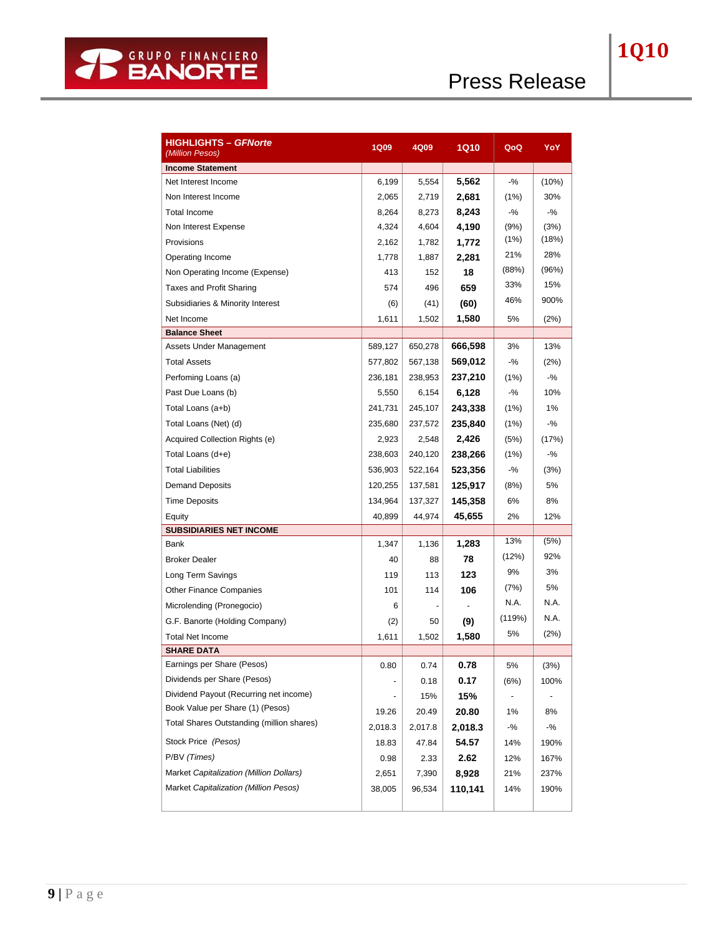| <b>HIGHLIGHTS – GFNorte</b><br>(Million Pesos) | <b>1Q09</b> | 4Q09    | <b>1Q10</b> | QoQ    | YoY    |
|------------------------------------------------|-------------|---------|-------------|--------|--------|
| <b>Income Statement</b>                        |             |         |             |        |        |
| Net Interest Income                            | 6,199       | 5,554   | 5,562       | $-9/6$ | (10%)  |
| Non Interest Income                            | 2,065       | 2,719   | 2,681       | (1%)   | 30%    |
| Total Income                                   | 8,264       | 8,273   | 8,243       | $-$ %  | $-$ %  |
| Non Interest Expense                           | 4,324       | 4,604   | 4,190       | (9%)   | (3%)   |
| Provisions                                     | 2,162       | 1,782   | 1,772       | (1%)   | (18%)  |
| Operating Income                               | 1,778       | 1,887   | 2,281       | 21%    | 28%    |
| Non Operating Income (Expense)                 | 413         | 152     | 18          | (88%)  | (96%)  |
| Taxes and Profit Sharing                       | 574         | 496     | 659         | 33%    | 15%    |
| Subsidiaries & Minority Interest               | (6)         | (41)    | (60)        | 46%    | 900%   |
| Net Income                                     | 1,611       | 1,502   | 1,580       | 5%     | (2%)   |
| <b>Balance Sheet</b>                           |             |         |             |        |        |
| Assets Under Management                        | 589,127     | 650,278 | 666,598     | 3%     | 13%    |
| <b>Total Assets</b>                            | 577,802     | 567,138 | 569,012     | $-$ %  | (2%)   |
| Perfoming Loans (a)                            | 236,181     | 238,953 | 237,210     | (1%)   | $-9/6$ |
| Past Due Loans (b)                             | 5,550       | 6,154   | 6,128       | $-$ %  | 10%    |
| Total Loans (a+b)                              | 241,731     | 245,107 | 243,338     | (1%)   | 1%     |
| Total Loans (Net) (d)                          | 235.680     | 237,572 | 235,840     | (1%)   | $-9/6$ |
| Acquired Collection Rights (e)                 | 2,923       | 2,548   | 2,426       | (5%)   | (17%)  |
| Total Loans (d+e)                              | 238,603     | 240,120 | 238,266     | (1%)   | -%     |
| <b>Total Liabilities</b>                       | 536,903     | 522,164 | 523,356     | $-$ %  | (3%)   |
| <b>Demand Deposits</b>                         | 120,255     | 137,581 | 125,917     | (8%)   | 5%     |
| <b>Time Deposits</b>                           | 134,964     | 137,327 | 145,358     | 6%     | 8%     |
| Equity                                         | 40,899      | 44,974  | 45,655      | 2%     | 12%    |
| <b>SUBSIDIARIES NET INCOME</b>                 |             |         |             |        |        |
| Bank                                           | 1,347       | 1,136   | 1,283       | 13%    | (5%)   |
| <b>Broker Dealer</b>                           | 40          | 88      | 78          | (12%)  | 92%    |
| Long Term Savings                              | 119         | 113     | 123         | 9%     | 3%     |
| <b>Other Finance Companies</b>                 | 101         | 114     | 106         | (7%)   | 5%     |
| Microlending (Pronegocio)                      | 6           |         |             | N.A.   | N.A.   |
| G.F. Banorte (Holding Company)                 | (2)         | 50      | (9)         | (119%) | N.A.   |
| <b>Total Net Income</b>                        | 1,611       | 1,502   | 1,580       | 5%     | (2%)   |
| <b>SHARE DATA</b>                              |             |         |             |        |        |
| Earnings per Share (Pesos)                     | 0.80        | 0.74    | 0.78        | 5%     | (3%)   |
| Dividends per Share (Pesos)                    |             | 0.18    | 0.17        | (6%)   | 100%   |
| Dividend Payout (Recurring net income)         |             | 15%     | 15%         |        |        |
| Book Value per Share (1) (Pesos)               | 19.26       | 20.49   | 20.80       | 1%     | 8%     |
| Total Shares Outstanding (million shares)      | 2,018.3     | 2,017.8 | 2,018.3     | $-$ %  | -%     |
| Stock Price (Pesos)                            | 18.83       | 47.84   | 54.57       | 14%    | 190%   |
| P/BV (Times)                                   | 0.98        | 2.33    | 2.62        | 12%    | 167%   |
| Market Capitalization (Million Dollars)        | 2,651       | 7,390   | 8,928       | 21%    | 237%   |
| Market Capitalization (Million Pesos)          | 38,005      | 96,534  | 110,141     | 14%    | 190%   |
|                                                |             |         |             |        |        |